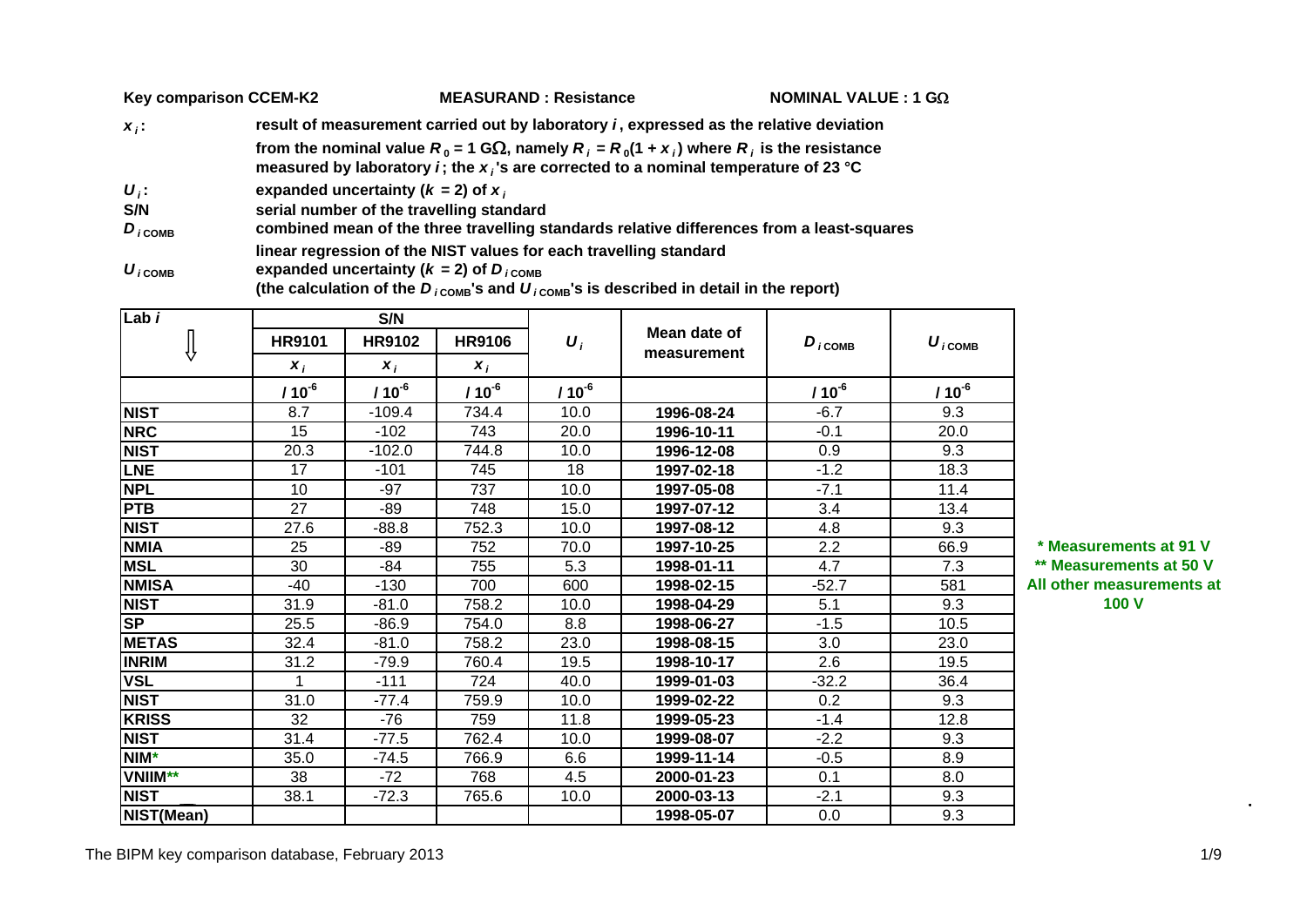|                                    | <b>Key comparison CCEM-K2</b>             | <b>MEASURAND: Resistance</b>                                                                                                                                                                              | NOMINAL VALUE : 1 G $\Omega$ |  |  |  |  |  |  |  |  |  |  |  |
|------------------------------------|-------------------------------------------|-----------------------------------------------------------------------------------------------------------------------------------------------------------------------------------------------------------|------------------------------|--|--|--|--|--|--|--|--|--|--|--|
| $X_i$ :                            |                                           | result of measurement carried out by laboratory <i>i</i> , expressed as the relative deviation                                                                                                            |                              |  |  |  |  |  |  |  |  |  |  |  |
|                                    |                                           | from the nominal value $R_0 = 1$ G $\Omega$ , namely $R_i = R_0(1 + x_i)$ where $R_i$ is the resistance<br>measured by laboratory <i>i</i> ; the $x_i$ 's are corrected to a nominal temperature of 23 °C |                              |  |  |  |  |  |  |  |  |  |  |  |
| $U_i$ :                            | expanded uncertainty ( $k = 2$ ) of $x_i$ |                                                                                                                                                                                                           |                              |  |  |  |  |  |  |  |  |  |  |  |
| S/N                                |                                           | serial number of the travelling standard                                                                                                                                                                  |                              |  |  |  |  |  |  |  |  |  |  |  |
| $D_{i \text{COMB}}$                |                                           | combined mean of the three travelling standards relative differences from a least-squares                                                                                                                 |                              |  |  |  |  |  |  |  |  |  |  |  |
| $\boldsymbol{U}_{i \texttt{COMB}}$ |                                           | linear regression of the NIST values for each travelling standard<br>expanded uncertainty ( $k = 2$ ) of $D_{iCOMB}$                                                                                      |                              |  |  |  |  |  |  |  |  |  |  |  |

(the calculation of the  $D_{i \text{ComB}}$ 's and  $U_{i \text{ComB}}$ 's is described in detail in the report)

**S/NLab** *i* **Mean date of**  $D_i$  $D_i$  $COMB$  $\overline{\mathbb{J}}$ Mean date of  $D_{i \text{comb}}$   $U_{i \text{com}}$ **HR9101 HR9102 HR9106HR9106** *U iU i* **COMB** $x_i$   $x_i$ *x i***/ 10-<sup>6</sup> / 10-<sup>6</sup> / 10-<sup>6</sup> / 10-<sup>6</sup> / 10-<sup>6</sup> / 10-<sup>6</sup> NIST**8.7 **1** -109.4 734.4 10.0 **1996-08-24** -6.7 9.3 **NRC** 15 -102 743 20.0 **1996-10-11** -0.1 20.0 **NIST** 20.3 -102.0 744.8 10.0 **1996-12-08** 0.9 9.3 **LNE**17 -101 745 18 1**997-02-18** -1.2 18.3 **NPL** 10 -97 737 10.0 **1997-05-08** -7.1 11.4 **PTB**27 **48** 15.0 **1997-07-12** 3.4 13.4 13.4 **NIST**27.6 **1 -88.8 752.3 10.0 1997-08-12** 4.8 1 9.3 25 -89 752 70.0 **1997-10-25** 2.2 66.9 **\* Measurements at 91 V NMI AMSL** 30 -84 755 5.3 **1998-01-11** 4.7 7.3 **\*\* Measurements at 50 V** -40 -130 700 600 **1998-02-15** -52.7 581 **NMISANIST** 31.9 -81.0 758.2 10.0 **1998-04-29** 5.1 9.3 **SP2** -86.9 | 754.0 | 8.8 | **1998-06-27** | -1.5 | 10.5 **METAS** 32.4 -81.0 758.2 23.0 **1998-08-15** 3.0 23.0 **INRIMM** | 31.2 | -79.9 | 760.4 | 19.5 | **1998-10-17** | 2.6 | 19.5 **VSL**1 **1** -111 **724 40.0 <b>1999-01-03** -32.2 36.4 **NIST** 31.0 -77.4 759.9 10.0 **1999-02-22** 0.2 9.3 **KRISS** 32 -76 759 11.8 **1999-05-23** -1.4 12.8 **NIST** 31.4 -77.5 762.4 10.0 **1999-08-07** -2.2 9.3 **NIM\***35.0 -74.5 766.9 6.6 **1999-11-14** $-0.5$  8.9 **VNIIM\*\* 2000-01-23** 0.1 8.0 38 -72 768 4.5**NIST** 38.1 -72.3 765.6 10.0 **2000-03-13** -2.1 9.3 **NIST(Mean) 1998-05-07 1998-05-07 1998 05-07 1998-05-07 1** 

**All other measurements at 100 V**

The BIPM key comparison database, February 2013 1/9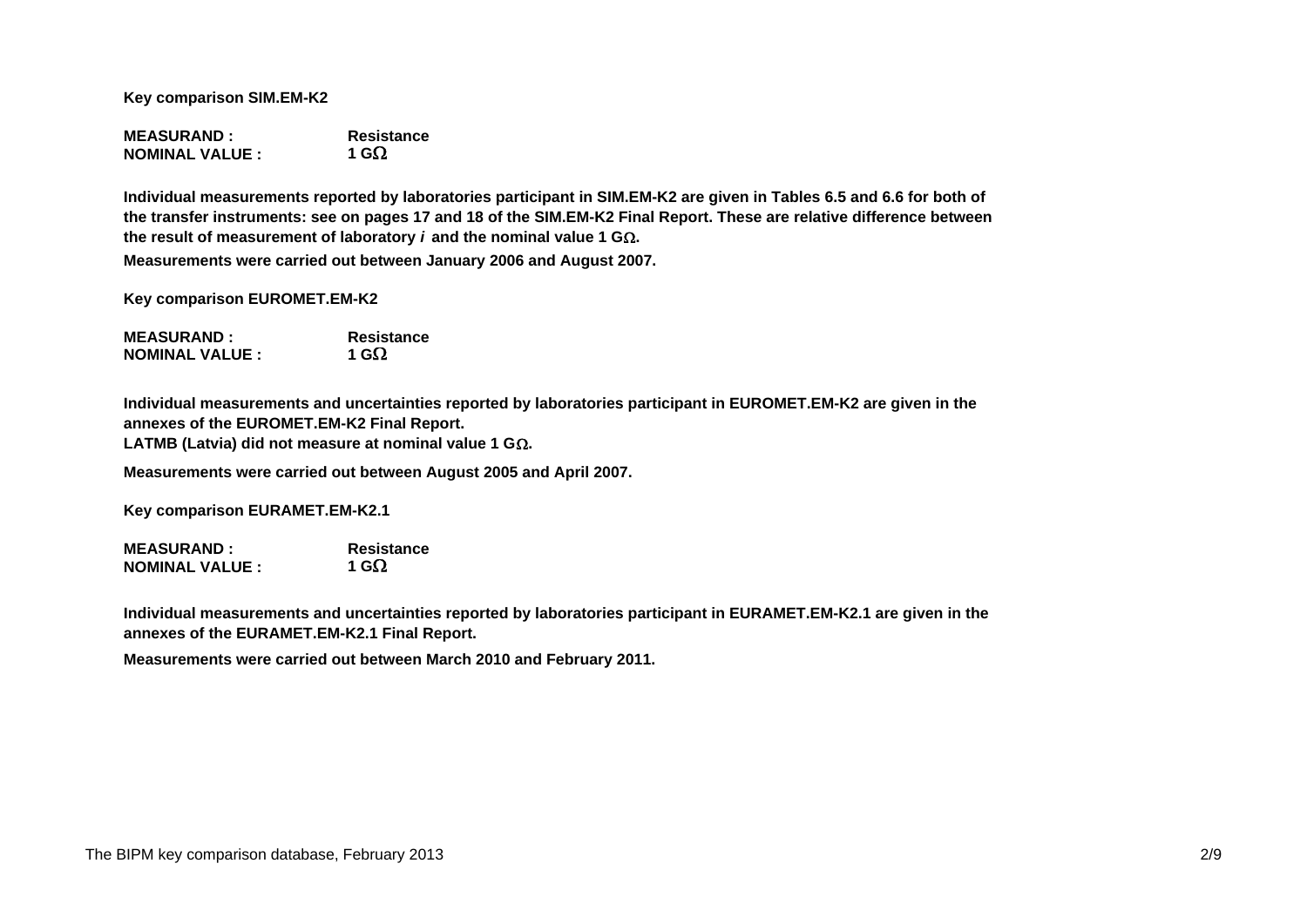**Key comparison SIM.EM-K2**

**MEASURAND : ResistanceNOMINAL VALUE :1 G** $\Omega$ 

**Measurements were carried out between January 2006 and August 2007. Individual measurements reported by laboratories participant in SIM.EM-K2 are given in Tables 6.5 and 6.6 for both of the transfer instruments: see on pages 17 and 18 of the SIM.EM-K2 Final Report. These are relative difference between**  the result of measurement of laboratory  $i$  and the nominal value 1 G $\Omega$ .

**Key comparison EUROMET.EM-K2**

**MEASURAND : ResistanceNOMINAL VALUE :1 G**

**Individual measurements and uncertainties reported by laboratories participant in EUROMET.EM-K2 are given in the annexes of the EUROMET.EM-K2 Final Report. LATMB (Latvia) did not measure at nominal value 1 G.**

**Measurements were carried out between August 2005 and April 2007.**

**Key comparison EURAMET.EM-K2.1**

**MEASURAND : Resistance NOMINAL VALUE :**1 G $\Omega$ 

**Individual measurements and uncertainties reported by laboratories participant in EURAMET.EM-K2.1 are given in the annexes of the EURAMET.EM-K2.1 Final Report.**

**Measurements were carried out between March 2010 and February 2011.**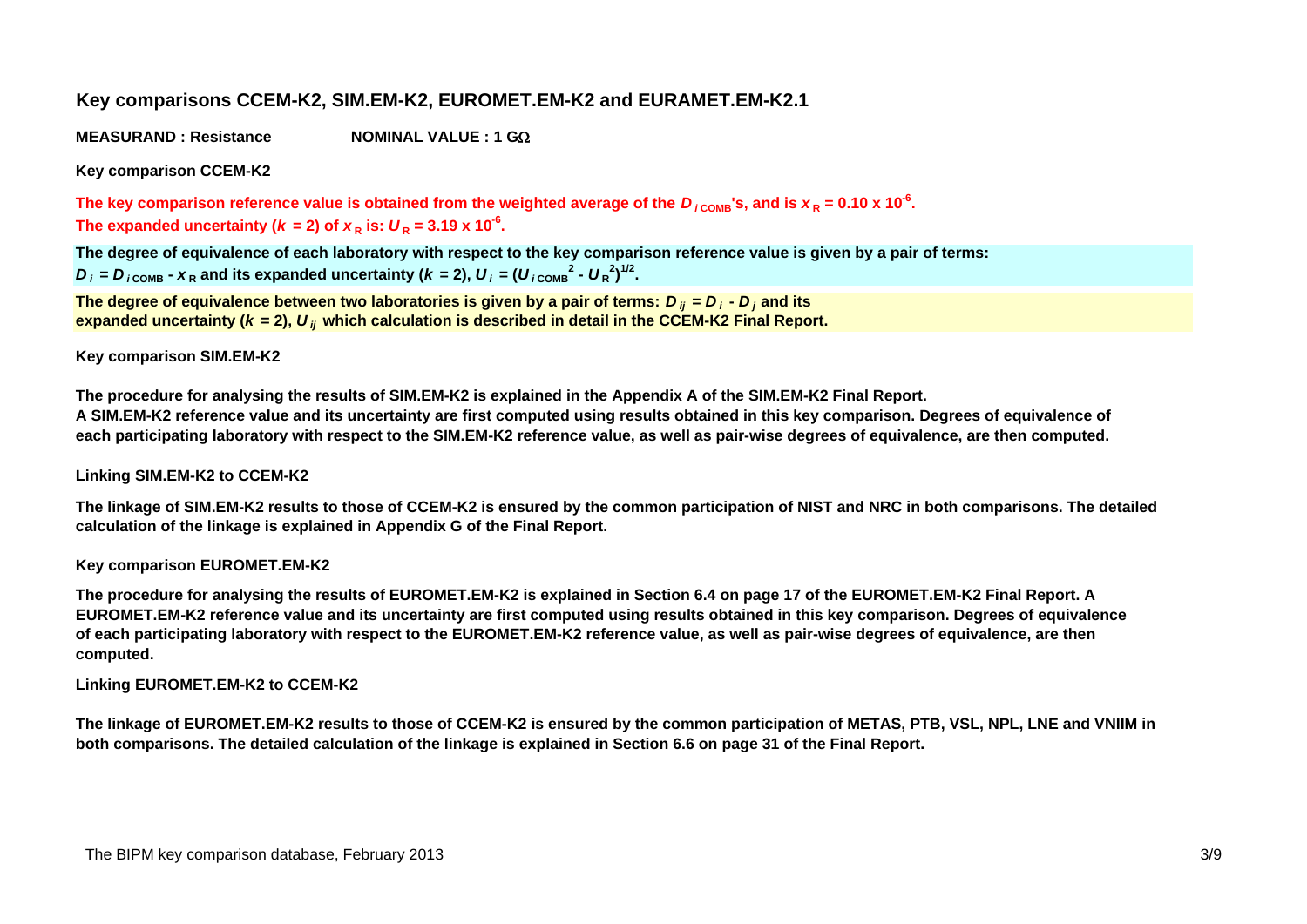# **Key comparisons CCEM-K2, SIM.EM-K2, EUROMET.EM-K2 and EURAMET.EM-K2.1**

**MEASURAND : ResistanceNOMINAL VALUE : 1 G**

**Key comparison CCEM-K2**

The key comparison reference value is obtained from the weighted average of the  $D_{\rm \,i\,ComB}$ 's, and is  $x_R$  = 0.10 x 10<sup>-6</sup>. The expanded uncertainty ( $k = 2$ ) of  $x_R$  is:  $U_R = 3.19 \times 10^{-6}$ .

**The degree of equivalence of each laboratory with respect to the key comparison reference value is given by a pair of terms:**  $D_i$  =  $D_{i \text{COMP}}$  -  $X_R$  and its expanded uncertainty ( $k = 2$ ),  $U_i = (U_{i \text{COMP}}^2 - U_R^2)^{1/2}$ .

**The degree of equivalence between two laboratories is given by a pair of terms:**  *D ij* **<sup>=</sup>** *D i* **-**  *D <sup>j</sup>* **and its** expanded uncertainty (*k =* 2),  $\bm{U}_{ij}$  which calculation is described in detail in the CCEM-K2 Final Report.

#### **Key comparison SIM.EM-K2**

**The procedure for analysing the results of SIM.EM-K2 is explained in the Appendix A of the SIM.EM-K2 Final Report. A SIM.EM-K2 reference value and its uncertainty are first computed using results obtained in this key comparison. Degrees of equivalence of each participating laboratory with respect to the SIM.EM-K2 reference value, as well as pair-wise degrees of equivalence, are then computed.**

## **Linking SIM.EM-K2 to CCEM-K2**

**The linkage of SIM.EM-K2 results to those of CCEM-K2 is ensured by the common participation of NIST and NRC in both comparisons. The detailed calculation of the linkage is explained in Appendix G of the Final Report.**

## **Key comparison EUROMET.EM-K2**

**The procedure for analysing the results of EUROMET.EM-K2 is explained in Section 6.4 on page 17 of the EUROMET.EM-K2 Final Report. A EUROMET.EM-K2 reference value and its uncertainty are first computed using results obtained in this key comparison. Degrees of equivalence of each participating laboratory with respect to the EUROMET.EM-K2 reference value, as well as pair-wise degrees of equivalence, are then computed.**

## **Linking EUROMET.EM-K2 to CCEM-K2**

**The linkage of EUROMET.EM-K2 results to those of CCEM-K2 is ensured by the common participation of METAS, PTB, VSL, NPL, LNE and VNIIM in both comparisons. The detailed calculation of the linkage is explained in Section 6.6 on page 31 of the Final Report.**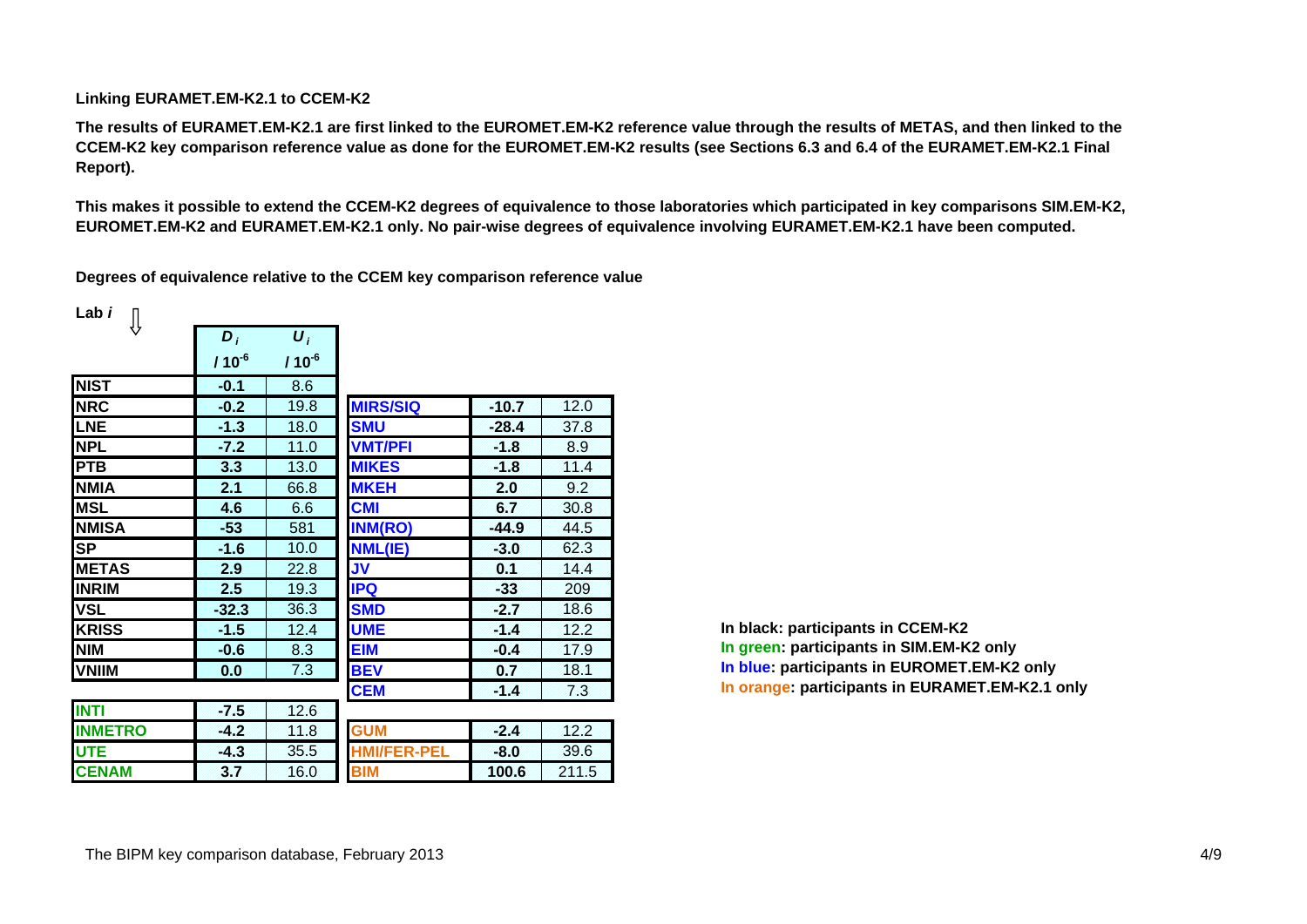#### **Linking EURAMET.EM-K2.1 to CCEM-K2**

**The results of EURAMET.EM-K2.1 are first linked to the EUROMET.EM-K2 reference value through the results of METAS, and then linked to the CCEM-K2 key comparison reference value as done for the EUROMET.EM-K2 results (see Sections 6.3 and 6.4 of the EURAMET.EM-K2.1 Final Report).**

**This makes it possible to extend the CCEM-K2 degrees of equivalence to those laboratories which participated in key comparisons SIM.EM-K2, EUROMET.EM-K2 and EURAMET.EM-K2.1 only. No pair-wise degrees of equivalence involving EURAMET.EM-K2.1 have been computed.**

**Degrees of equivalence relative to the CCEM key comparison reference value**

| Lab i          |            |                    |                    |         |       |
|----------------|------------|--------------------|--------------------|---------|-------|
|                | $D_i$      | $\boldsymbol{U}_i$ |                    |         |       |
|                | $110^{-6}$ | $110^{-6}$         |                    |         |       |
| <b>NIST</b>    | $-0.1$     | 8.6                |                    |         |       |
| <b>NRC</b>     | $-0.2$     | 19.8               | <b>MIRS/SIQ</b>    | $-10.7$ | 12.0  |
| LNE            | $-1.3$     | 18.0               | <b>SMU</b>         | $-28.4$ | 37.8  |
| <b>NPL</b>     | $-7.2$     | 11.0               | <b>VMT/PFI</b>     | $-1.8$  | 8.9   |
| <b>PTB</b>     | 3.3        | 13.0               | <b>MIKES</b>       | $-1.8$  | 11.4  |
| <b>NMIA</b>    | 2.1        | 66.8               | <b>MKEH</b>        | 2.0     | 9.2   |
| <b>MSL</b>     | 4.6        | 6.6                | <b>CMI</b>         | 6.7     | 30.8  |
| <b>NMISA</b>   | $-53$      | 581                | <b>INM(RO)</b>     | $-44.9$ | 44.5  |
| <b>SP</b>      | $-1.6$     | 10.0               | NML(IE)            | $-3.0$  | 62.3  |
| <b>IMETAS</b>  | 2.9        | 22.8               | <b>JV</b>          | 0.1     | 14.4  |
| <b>INRIM</b>   | 2.5        | 19.3               | <b>IPQ</b>         | $-33$   | 209   |
| <b>VSL</b>     | $-32.3$    | 36.3               | <b>SMD</b>         | $-2.7$  | 18.6  |
| <b>KRISS</b>   | $-1.5$     | 12.4               | <b>UME</b>         | $-1.4$  | 12.2  |
| <b>NIM</b>     | $-0.6$     | 8.3                | <b>EIM</b>         | $-0.4$  | 17.9  |
| <b>VNIIM</b>   | 0.0        | 7.3                | <b>BEV</b>         | 0.7     | 18.1  |
|                |            |                    | <b>CEM</b>         | $-1.4$  | 7.3   |
| <b>INTI</b>    | $-7.5$     | 12.6               |                    |         |       |
| <b>INMETRO</b> | $-4.2$     | 11.8               | <b>GUM</b>         | $-2.4$  | 12.2  |
| <b>UTE</b>     | $-4.3$     | 35.5               | <b>HMI/FER-PEL</b> | $-8.0$  | 39.6  |
| <b>CENAM</b>   | 3.7        | 16.0               | <b>BIM</b>         | 100.6   | 211.5 |

**In black: participants in CCEM-K2 In green: participants in SIM.EM-K2 only In blue: participants in EUROMET.EM-K2 only In orange: participants in EURAMET.EM-K2.1 only**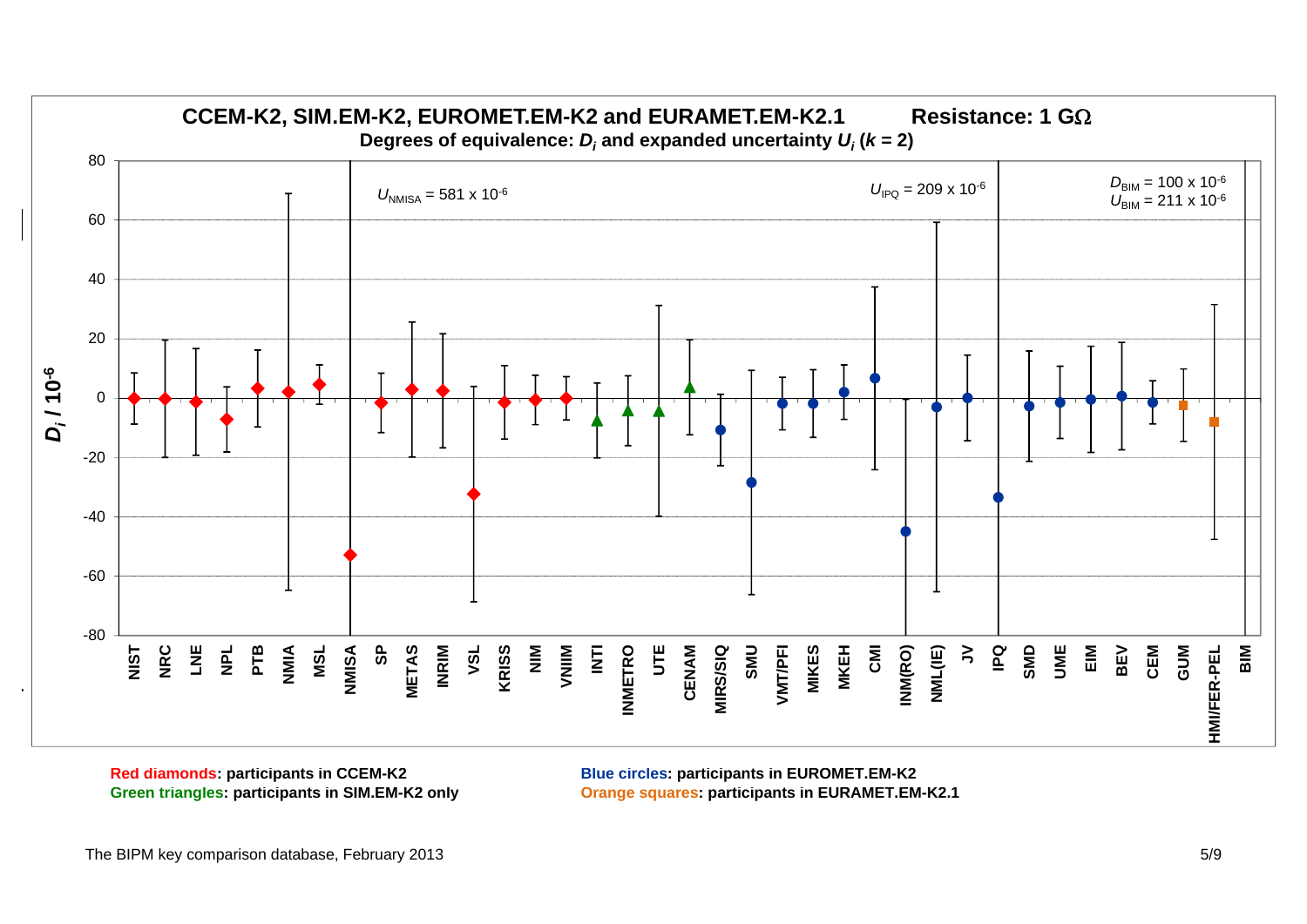

**Red diamonds: participants in CCEM-K2** 

**Blue circles: participants in EUROMET.EM-K2 Green triangles: participants in SIM.EM-K2 only Orange squares: participants in EURAMET.EM-K2.1**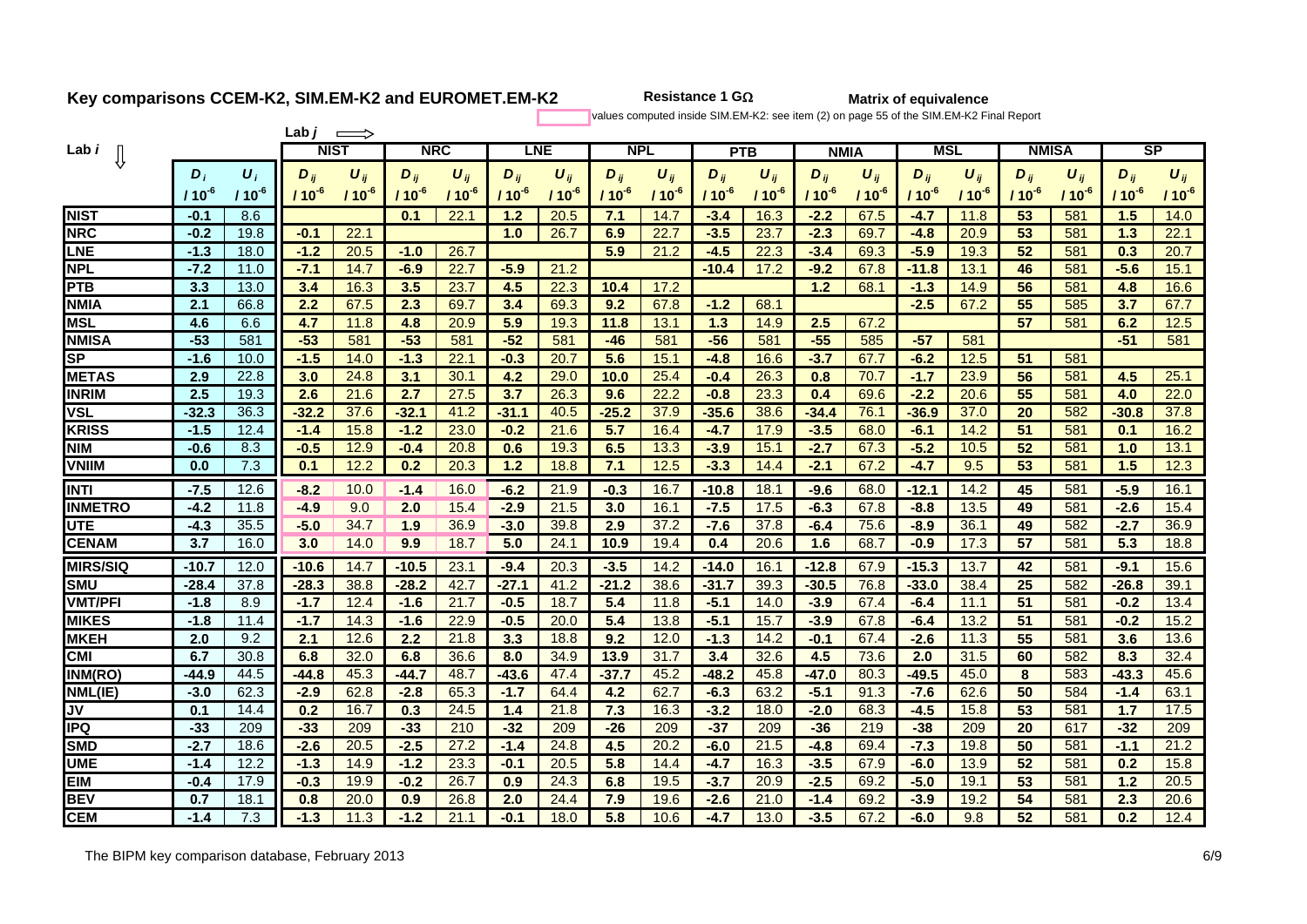**Resistance 1 G**

**Matrix of equivalence**

values computed inside SIM.EM-K2: see item (2) on page 55 of the SIM.EM-K2 Final Report

|                 |            |            | Lab <i>j</i> |            |            |            |            |            |            |            |            |            |             |            |            |           |              |            |            |           |
|-----------------|------------|------------|--------------|------------|------------|------------|------------|------------|------------|------------|------------|------------|-------------|------------|------------|-----------|--------------|------------|------------|-----------|
| Lab <i>i</i>    |            |            | <b>NIST</b>  |            | <b>NRC</b> |            |            | <b>LNE</b> | <b>NPL</b> |            |            | <b>PTB</b> | <b>NMIA</b> |            | <b>MSL</b> |           | <b>NMISA</b> |            | SP         |           |
|                 | $D_i$      | $U_i$      | $D_{ii}$     | $U_{ii}$   | $D_{ii}$   | $U_{ij}$   | $D_{ii}$   | $U_{ij}$   | $D_{ij}$   | $U_{ii}$   | $D_{ij}$   | $U_{ij}$   | $D_{ii}$    | $U_{ij}$   | $D_{ij}$   | $U_{ii}$  | $D_{ii}$     | $U_{ij}$   | $D_{ij}$   | $U_{ij}$  |
|                 | $110^{-6}$ | $110^{-6}$ | $/10^{-6}$   | $110^{-6}$ | $110^{-6}$ | $110^{-6}$ | $110^{-6}$ | $110^{-6}$ | $110^{-6}$ | $110^{-6}$ | $110^{-6}$ | $110^{-6}$ | $110^{-6}$  | $110^{-6}$ | $110^{-6}$ | $110^{6}$ | $110^{-6}$   | $110^{-6}$ | $110^{-6}$ | $110^{6}$ |
| <b>NIST</b>     | $-0.1$     | 8.6        |              |            | 0.1        | 22.1       | 1.2        | 20.5       | 7.1        | 14.7       | $-3.4$     | 16.3       | $-2.2$      | 67.5       | $-4.7$     | 11.8      | 53           | 581        | 1.5        | 14.0      |
| <b>NRC</b>      | $-0.2$     | 19.8       | $-0.1$       | 22.1       |            |            | 1.0        | 26.7       | 6.9        | 22.7       | $-3.5$     | 23.7       | $-2.3$      | 69.7       | $-4.8$     | 20.9      | 53           | 581        | 1.3        | 22.1      |
| LNE             | $-1.3$     | 18.0       | $-1.2$       | 20.5       | $-1.0$     | 26.7       |            |            | 5.9        | 21.2       | $-4.5$     | 22.3       | $-3.4$      | 69.3       | $-5.9$     | 19.3      | 52           | 581        | 0.3        | 20.7      |
| <b>NPL</b>      | $-7.2$     | 11.0       | $-7.1$       | 14.7       | $-6.9$     | 22.7       | $-5.9$     | 21.2       |            |            | $-10.4$    | 17.2       | $-9.2$      | 67.8       | $-11.8$    | 13.1      | 46           | 581        | $-5.6$     | 15.1      |
| <b>PTB</b>      | 3.3        | 13.0       | 3.4          | 16.3       | 3.5        | 23.7       | 4.5        | 22.3       | 10.4       | 17.2       |            |            | 1.2         | 68.1       | $-1.3$     | 14.9      | 56           | 581        | 4.8        | 16.6      |
| <b>NMIA</b>     | 2.1        | 66.8       | 2.2          | 67.5       | 2.3        | 69.7       | 3.4        | 69.3       | 9.2        | 67.8       | $-1.2$     | 68.1       |             |            | $-2.5$     | 67.2      | 55           | 585        | 3.7        | 67.7      |
| <b>MSL</b>      | 4.6        | 6.6        | 4.7          | 11.8       | 4.8        | 20.9       | 5.9        | 19.3       | 11.8       | 13.1       | 1.3        | 14.9       | 2.5         | 67.2       |            |           | 57           | 581        | 6.2        | 12.5      |
| <b>NMISA</b>    | $-53$      | 581        | $-53$        | 581        | $-53$      | 581        | $-52$      | 581        | -46        | 581        | $-56$      | 581        | $-55$       | 585        | $-57$      | 581       |              |            | $-51$      | 581       |
| <b>SP</b>       | $-1.6$     | 10.0       | $-1.5$       | 14.0       | $-1.3$     | 22.1       | -0.3       | 20.7       | 5.6        | 15.1       | $-4.8$     | 16.6       | $-3.7$      | 67.7       | $-6.2$     | 12.5      | 51           | 581        |            |           |
| <b>METAS</b>    | 2.9        | 22.8       | 3.0          | 24.8       | 3.1        | 30.1       | 4.2        | 29.0       | 10.0       | 25.4       | $-0.4$     | 26.3       | 0.8         | 70.7       | $-1.7$     | 23.9      | 56           | 581        | 4.5        | 25.1      |
| <b>INRIM</b>    | 2.5        | 19.3       | 2.6          | 21.6       | 2.7        | 27.5       | 3.7        | 26.3       | 9.6        | 22.2       | $-0.8$     | 23.3       | 0.4         | 69.6       | $-2.2$     | 20.6      | 55           | 581        | 4.0        | 22.0      |
| <b>VSL</b>      | $-32.3$    | 36.3       | $-32.2$      | 37.6       | $-32.1$    | 41.2       | $-31.1$    | 40.5       | $-25.2$    | 37.9       | $-35.6$    | 38.6       | $-34.4$     | 76.1       | $-36.9$    | 37.0      | 20           | 582        | $-30.8$    | 37.8      |
| <b>KRISS</b>    | $-1.5$     | 12.4       | $-1.4$       | 15.8       | $-1.2$     | 23.0       | $-0.2$     | 21.6       | 5.7        | 16.4       | $-4.7$     | 17.9       | $-3.5$      | 68.0       | $-6.1$     | 14.2      | 51           | 581        | 0.1        | 16.2      |
| <b>NIM</b>      | $-0.6$     | 8.3        | $-0.5$       | 12.9       | $-0.4$     | 20.8       | 0.6        | 19.3       | 6.5        | 13.3       | $-3.9$     | 15.1       | $-2.7$      | 67.3       | $-5.2$     | 10.5      | 52           | 581        | 1.0        | 13.1      |
| <b>VNIIM</b>    | 0.0        | 7.3        | 0.1          | 12.2       | 0.2        | 20.3       | 1.2        | 18.8       | 7.1        | 12.5       | $-3.3$     | 14.4       | $-2.1$      | 67.2       | $-4.7$     | 9.5       | 53           | 581        | 1.5        | 12.3      |
| <b>INTI</b>     | $-7.5$     | 12.6       | $-8.2$       | 10.0       | $-1.4$     | 16.0       | $-6.2$     | 21.9       | $-0.3$     | 16.7       | $-10.8$    | 18.1       | $-9.6$      | 68.0       | $-12.1$    | 14.2      | 45           | 581        | $-5.9$     | 16.1      |
| <b>IINMETRO</b> | $-4.2$     | 11.8       | $-4.9$       | 9.0        | 2.0        | 15.4       | $-2.9$     | 21.5       | 3.0        | 16.1       | $-7.5$     | 17.5       | $-6.3$      | 67.8       | $-8.8$     | 13.5      | 49           | 581        | $-2.6$     | 15.4      |
| <b>UTE</b>      | $-4.3$     | 35.5       | $-5.0$       | 34.7       | 1.9        | 36.9       | $-3.0$     | 39.8       | 2.9        | 37.2       | $-7.6$     | 37.8       | $-6.4$      | 75.6       | $-8.9$     | 36.1      | 49           | 582        | $-2.7$     | 36.9      |
| <b>CENAM</b>    | 3.7        | 16.0       | 3.0          | 14.0       | 9.9        | 18.7       | 5.0        | 24.1       | 10.9       | 19.4       | 0.4        | 20.6       | 1.6         | 68.7       | $-0.9$     | 17.3      | 57           | 581        | 5.3        | 18.8      |
| <b>MIRS/SIQ</b> | $-10.7$    | 12.0       | $-10.6$      | 14.7       | $-10.5$    | 23.1       | $-9.4$     | 20.3       | $-3.5$     | 14.2       | $-14.0$    | 16.1       | $-12.8$     | 67.9       | $-15.3$    | 13.7      | 42           | 581        | $-9.1$     | 15.6      |
| <b>SMU</b>      | $-28.4$    | 37.8       | $-28.3$      | 38.8       | $-28.2$    | 42.7       | $-27.1$    | 41.2       | $-21.2$    | 38.6       | $-31.7$    | 39.3       | $-30.5$     | 76.8       | $-33.0$    | 38.4      | 25           | 582        | $-26.8$    | 39.1      |
| <b>VMT/PFI</b>  | $-1.8$     | 8.9        | -1.7         | 12.4       | $-1.6$     | 21.7       | $-0.5$     | 18.7       | 5.4        | 11.8       | $-5.1$     | 14.0       | $-3.9$      | 67.4       | $-6.4$     | 11.1      | 51           | 581        | $-0.2$     | 13.4      |
| <b>MIKES</b>    | $-1.8$     | 11.4       | $-1.7$       | 14.3       | $-1.6$     | 22.9       | $-0.5$     | 20.0       | 5.4        | 13.8       | $-5.1$     | 15.7       | $-3.9$      | 67.8       | $-6.4$     | 13.2      | 51           | 581        | $-0.2$     | 15.2      |
| <b>MKEH</b>     | 2.0        | 9.2        | 2.1          | 12.6       | 2.2        | 21.8       | 3.3        | 18.8       | 9.2        | 12.0       | $-1.3$     | 14.2       | $-0.1$      | 67.4       | $-2.6$     | 11.3      | 55           | 581        | 3.6        | 13.6      |
| <b>CMI</b>      | 6.7        | 30.8       | 6.8          | 32.0       | 6.8        | 36.6       | 8.0        | 34.9       | 13.9       | 31.7       | 3.4        | 32.6       | 4.5         | 73.6       | 2.0        | 31.5      | 60           | 582        | 8.3        | 32.4      |
| INM(RO)         | $-44.9$    | 44.5       | $-44.8$      | 45.3       | $-44.7$    | 48.7       | $-43.6$    | 47.4       | $-37.7$    | 45.2       | $-48.2$    | 45.8       | $-47.0$     | 80.3       | $-49.5$    | 45.0      | 8            | 583        | $-43.3$    | 45.6      |
| NML(IE)         | $-3.0$     | 62.3       | $-2.9$       | 62.8       | $-2.8$     | 65.3       | -17        | 64.4       | 4.2        | 62.7       | $-6.3$     | 63.2       | $-5.1$      | 91.3       | $-7.6$     | 62.6      | 50           | 584        | $-1.4$     | 63.1      |
| JV              | 0.1        | 14.4       | 0.2          | 16.7       | 0.3        | 24.5       | 1.4        | 21.8       | 7.3        | 16.3       | $-3.2$     | 18.0       | $-2.0$      | 68.3       | $-4.5$     | 15.8      | 53           | 581        | 1.7        | 17.5      |
| <b>IPQ</b>      | $-33$      | 209        | $-33$        | 209        | $-33$      | 210        | $-32$      | 209        | $-26$      | 209        | $-37$      | 209        | $-36$       | 219        | $-38$      | 209       | 20           | 617        | $-32$      | 209       |
| <b>SMD</b>      | $-2.7$     | 18.6       | $-2.6$       | 20.5       | $-2.5$     | 27.2       | $-1.4$     | 24.8       | 4.5        | 20.2       | $-6.0$     | 21.5       | $-4.8$      | 69.4       | $-7.3$     | 19.8      | 50           | 581        | 44         | 21.2      |
| <b>UME</b>      | $-1.4$     | 12.2       | $-1.3$       | 14.9       | $-1.2$     | 23.3       | -0.1       | 20.5       | 5.8        | 14.4       | $-4.7$     | 16.3       | $-3.5$      | 67.9       | $-6.0$     | 13.9      | 52           | 581        | 0.2        | 15.8      |
| EIM             | $-0.4$     | 17.9       | $-0.3$       | 19.9       | $-0.2$     | 26.7       | 0.9        | 24.3       | 6.8        | 19.5       | $-3.7$     | 20.9       | $-2.5$      | 69.2       | $-5.0$     | 19.1      | 53           | 581        | 1.2        | 20.5      |
| <b>BEV</b>      | 0.7        | 18.1       | 0.8          | 20.0       | 0.9        | 26.8       | 2.0        | 24.4       | 7.9        | 19.6       | $-2.6$     | 21.0       | $-1.4$      | 69.2       | $-3.9$     | 19.2      | 54           | 581        | 2.3        | 20.6      |
| <b>CEM</b>      | $-1.4$     | 7.3        | $-1.3$       | 11.3       | $-1.2$     | 21.1       | $-0.1$     | 18.0       | 5.8        | 10.6       | $-4.7$     | 13.0       | $-3.5$      | 67.2       | $-6.0$     | 9.8       | 52           | 581        | 0.2        | 12.4      |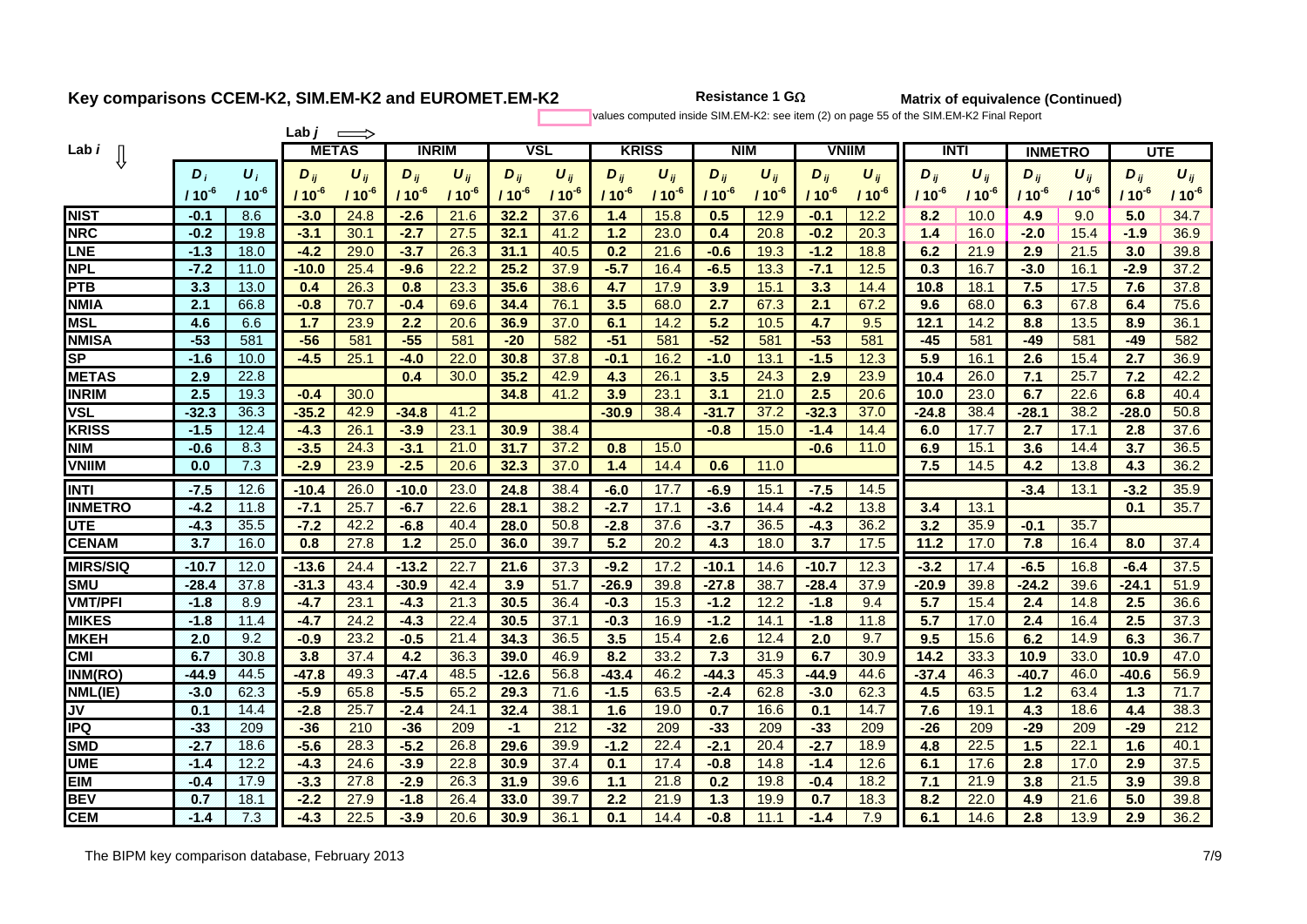**2** Resistance 1 G $\Omega$ 

**Matrix of equivalence (Continued)**

values computed inside SIM.EM-K2: see item (2) on page 55 of the SIM.EM-K2 Final Report

|                 |            | Lab .<br>$\implies$ |            |              |            |              |            |            |            |                 |            |                       |              |            |             |            |                |            |            |            |
|-----------------|------------|---------------------|------------|--------------|------------|--------------|------------|------------|------------|-----------------|------------|-----------------------|--------------|------------|-------------|------------|----------------|------------|------------|------------|
| Lab <i>i</i>    |            |                     |            | <b>METAS</b> |            | <b>INRIM</b> |            | <b>VSL</b> |            | <b>KRISS</b>    | <b>NIM</b> |                       | <b>VNIIM</b> |            | <b>INTI</b> |            | <b>INMETRO</b> |            | <b>UTE</b> |            |
|                 | $\bm{D}_i$ | $\boldsymbol{U}_i$  | $D_{ii}$   | $U_{ii}$     | $D_{ij}$   | $U_{ii}$     | $D_{ii}$   | $U_{ii}$   | $D_{ii}$   | $U_{ii}$        | $D_{ii}$   | $\boldsymbol{U}_{ij}$ | $D_{ij}$     | $U_{ii}$   | $D_{ii}$    | $\bm{U}_n$ | $D_{ii}$       | $U_{ij}$   | $D_{ij}$   | $U_{ij}$   |
|                 | $110^{-6}$ | / 10 $^{\text{-}6}$ | $110^{-4}$ | $110^{-6}$   | $110^{-6}$ | $110^{-6}$   | $110^{-6}$ | $110^{-6}$ | $110^{-6}$ | / 10 $^{\circ}$ | $110^{-6}$ | $110^{-6}$            | / 10 $^6$    | $110^{-6}$ | $110^{-6}$  | $110^{-6}$ | $110^{-6}$     | $110^{-6}$ | $110^{-6}$ | $110^{-6}$ |
| <b>NIST</b>     | $-0.1$     | 8.6                 | $-3.0$     | 24.8         | $-2.6$     | 21.6         | 32.2       | 37.6       | 1.4        | 15.8            | 0.5        | 12.9                  | -0.1         | 12.2       | 8.2         | 10.0       | 4.9            | 9.0        | 5.0        | 34.7       |
| <b>NRC</b>      | $-0.2$     | 19.8                | $-3.1$     | 30.1         | $-2.7$     | 27.5         | 32.1       | 41.2       | 1.2        | 23.0            | 0.4        | 20.8                  | $-0.2$       | 20.3       | 1.4         | 16.0       | $-2.0$         | 15.4       | $-1.9$     | 36.9       |
| LNE             | $-1.3$     | 18.0                | $-4.2$     | 29.0         | $-3.7$     | 26.3         | 31.1       | 40.5       | 0.2        | 21.6            | -0.6       | 19.3                  | $-1.2$       | 18.8       | 6.2         | 21.9       | 2.9            | 21.5       | 3.0        | 39.8       |
| <b>NPL</b>      | $-7.2$     | 11.0                | $-10.0$    | 25.4         | $-9.6$     | 22.2         | 25.2       | 37.9       | $-5.7$     | 16.4            | $-6.5$     | 13.3                  | $-7.1$       | 12.5       | 0.3         | 16.7       | $-3.0$         | 16.1       | $-2.9$     | 37.2       |
| <b>PTB</b>      | 3.3        | 13.0                | 0.4        | 26.3         | 0.8        | 23.3         | 35.6       | 38.6       | 4.7        | 17.9            | 3.9        | 15.1                  | 3.3          | 14.4       | 10.8        | 18.1       | 7.5            | 17.5       | 7.6        | 37.8       |
| <b>NMIA</b>     | 2.1        | 66.8                | $-0.8$     | 70.7         | $-0.4$     | 69.6         | 34.4       | 76.1       | 3.5        | 68.0            | 2.7        | 67.3                  | 2.1          | 67.2       | 9.6         | 68.0       | 6.3            | 67.8       | 6.4        | 75.6       |
| <b>MSL</b>      | 4.6        | 6.6                 | 1.7        | 23.9         | 2.2        | 20.6         | 36.9       | 37.0       | 6.1        | 14.2            | 5.2        | 10.5                  | 4.7          | 9.5        | 12.1        | 14.2       | 8.8            | 13.5       | 8.9        | 36.1       |
| <b>NMISA</b>    | $-53$      | 581                 | $-56$      | 581          | $-55$      | 581          | $-20$      | 582        | $-51$      | 581             | $-52$      | 581                   | $-53$        | 581        | $-45$       | 581        | $-49$          | 581        | $-49$      | 582        |
| <b>SP</b>       | $-1.6$     | 10.0                | -4.5       | 25.1         | $-4.0$     | 22.0         | 30.8       | 37.8       | $-0.1$     | 16.2            | $-1.0$     | 13.1                  | $-1.5$       | 12.3       | 5.9         | 16.1       | 2.6            | 15.4       | 2.7        | 36.9       |
| <b>IMETAS</b>   | 2.9        | 22.8                |            |              | 0.4        | 30.0         | 35.2       | 42.9       | 4.3        | 26.1            | 3.5        | 24.3                  | 2.9          | 23.9       | 10.4        | 26.0       | 7.1            | 25.7       | 7.2        | 42.2       |
| <b>INRIM</b>    | 2.5        | 19.3                | $-0.4$     | 30.0         |            |              | 34.8       | 41.2       | 3.9        | 23.1            | 3.1        | 21.0                  | 2.5          | 20.6       | 10.0        | 23.0       | 6.7            | 22.6       | 6.8        | 40.4       |
| <b>VSL</b>      | $-32.3$    | 36.3                | $-35.2$    | 42.9         | $-34.8$    | 41.2         |            |            | $-30.9$    | 38.4            | $-31.7$    | 37.2                  | $-32.3$      | 37.0       | $-24.8$     | 38.4       | $-28.1$        | 38.2       | $-28.0$    | 50.8       |
| <b>KRISS</b>    | $-1.5$     | 12.4                | $-4.3$     | 26.1         | $-3.9$     | 23.1         | 30.9       | 38.4       |            |                 | $-0.8$     | 15.0                  | $-1.4$       | 14.4       | 6.0         | 17.7       | 2.7            | 17.1       | 2.8        | 37.6       |
| <b>NIM</b>      | $-0.6$     | 8.3                 | $-3.5$     | 24.3         | $-3.1$     | 21.0         | 31.7       | 37.2       | 0.8        | 15.0            |            |                       | -0.6         | 11.0       | 6.9         | 15.1       | 3.6            | 14.4       | 3.7        | 36.5       |
| <b>VNIIM</b>    | 0.0        | 7.3                 | $-2.9$     | 23.9         | $-2.5$     | 20.6         | 32.3       | 37.0       | 1.4        | 14.4            | 0.6        | 11.0                  |              |            | 7.5         | 14.5       | 4.2            | 13.8       | 4.3        | 36.2       |
| <b>INTI</b>     | $-7.5$     | 12.6                | $-10.4$    | 26.0         | $-10.0$    | 23.0         | 24.8       | 38.4       | $-6.0$     | 17.7            | $-6.9$     | 15.1                  | $-7.5$       | 14.5       |             |            | $-3.4$         | 13.1       | $-3.2$     | 35.9       |
| <b>INMETRO</b>  | $-4.2$     | 11.8                | $-7.1$     | 25.7         | $-6.7$     | 22.6         | 28.1       | 38.2       | $-2.7$     | 17.1            | $-3.6$     | 14.4                  | $-4.2$       | 13.8       | 3.4         | 13.1       |                |            | 0.1        | 35.7       |
| <b>UTE</b>      | $-4.3$     | 35.5                | $-7.2$     | 42.2         | $-6.8$     | 40.4         | 28.0       | 50.8       | $-2.8$     | 37.6            | $-3.7$     | 36.5                  | $-4.3$       | 36.2       | 3.2         | 35.9       | $-0.1$         | 35.7       |            |            |
| <b>CENAM</b>    | 3.7        | 16.0                | 0.8        | 27.8         | 1.2        | 25.0         | 36.0       | 39.7       | 5.2        | 20.2            | 4.3        | 18.0                  | 3.7          | 17.5       | 11.2        | 17.0       | 7.8            | 16.4       | 8.0        | 37.4       |
| <b>MIRS/SIQ</b> | $-10.7$    | 12.0                | $-13.6$    | 24.4         | $-13.2$    | 22.7         | 21.6       | 37.3       | $-9.2$     | 17.2            | $-10.1$    | 14.6                  | -10.7        | 12.3       | $-3.2$      | 17.4       | $-6.5$         | 16.8       | $-6.4$     | 37.5       |
| <b>SMU</b>      | $-28.4$    | 37.8                | $-31.3$    | 43.4         | $-30.9$    | 42.4         | 3.9        | 51.7       | $-26.9$    | 39.8            | $-27.8$    | 38.7                  | $-28.4$      | 37.9       | $-20.9$     | 39.8       | $-24.2$        | 39.6       | $-24.1$    | 51.9       |
| <b>VMT/PFI</b>  | $-1.8$     | 8.9                 | $-4.7$     | 23.1         | $-4.3$     | 21.3         | 30.5       | 36.4       | $-0.3$     | 15.3            | $-1.2$     | 12.2                  | $-1.8$       | 9.4        | 5.7         | 15.4       | 2.4            | 14.8       | 2.5        | 36.6       |
| <b>MIKES</b>    | $-1.8$     | 11.4                | $-4.7$     | 24.2         | $-4.3$     | 22.4         | 30.5       | 37.1       | $-0.3$     | 16.9            | $-1.2$     | 14.1                  | $-1.8$       | 11.8       | 5.7         | 17.0       | 2.4            | 16.4       | 2.5        | 37.3       |
| <b>MKEH</b>     | 2.0        | 9.2                 | $-0.9$     | 23.2         | $-0.5$     | 21.4         | 34.3       | 36.5       | 3.5        | 15.4            | 2.6        | 12.4                  | 2.0          | 9.7        | 9.5         | 15.6       | 6.2            | 14.9       | 6.3        | 36.7       |
| <b>CMI</b>      | 6.7        | 30.8                | 3.8        | 37.4         | 4.2        | 36.3         | 39.0       | 46.9       | 8.2        | 33.2            | 7.3        | 31.9                  | 6.7          | 30.9       | 14.2        | 33.3       | 10.9           | 33.0       | 10.9       | 47.0       |
| INM(RO)         | $-44.9$    | 44.5                | $-47.8$    | 49.3         | $-47.4$    | 48.5         | $-12.6$    | 56.8       | $-43.4$    | 46.2            | $-44.3$    | 45.3                  | $-44.9$      | 44.6       | $-37.4$     | 46.3       | $-40.7$        | 46.0       | $-40.6$    | 56.9       |
| NML(IE)         | $-3.0$     | 62.3                | $-5.9$     | 65.8         | $-5.5$     | 65.2         | 29.3       | 71.6       | $-1.5$     | 63.5            | $-2.4$     | 62.8                  | $-3.0$       | 62.3       | 4.5         | 63.5       | 1.2            | 63.4       | 1.3        | 71.7       |
| <b>JV</b>       | 0.1        | 14.4                | $-2.8$     | 25.7         | $-2.4$     | 24.1         | 32.4       | 38.1       | 1.6        | 19.0            | 0.7        | 16.6                  | 0.1          | 14.7       | 7.6         | 19.1       | 4.3            | 18.6       | 4.4        | 38.3       |
| <b>IPQ</b>      | $-33$      | 209                 | $-36$      | 210          | $-36$      | 209          | -1         | 212        | $-32$      | 209             | $-33$      | 209                   | $-33$        | 209        | $-26$       | 209        | $-29$          | 209        | $-29$      | 212        |
| <b>SMD</b>      | $-2.7$     | 18.6                | $-5.6$     | 28.3         | $-5.2$     | 26.8         | 29.6       | 39.9       | $-1.2$     | 22.4            | $-2.1$     | 20.4                  | $-2.7$       | 18.9       | 4.8         | 22.5       | 1.5            | 22.1       | 1.6        | 40.1       |
| <b>UME</b>      | $-1.4$     | 12.2                | $-4.3$     | 24.6         | $-3.9$     | 22.8         | 30.9       | 37.4       | 0.1        | 17.4            | $-0.8$     | 14.8                  | $-1.4$       | 12.6       | 6.1         | 17.6       | 2.8            | 17.0       | 2.9        | 37.5       |
| <b>EIM</b>      | $-0.4$     | 17.9                | $-3.3$     | 27.8         | $-2.9$     | 26.3         | 31.9       | 39.6       | 44         | 21.8            | 0.2        | 19.8                  | $-0.4$       | 18.2       | 7.1         | 21.9       | 3.8            | 21.5       | 3.9        | 39.8       |
| <b>BEV</b>      | 0.7        | 18.1                | $-2.2$     | 27.9         | $-1.8$     | 26.4         | 33.0       | 39.7       | 2.2        | 21.9            | 1.3        | 19.9                  | 0.7          | 18.3       | 8.2         | 22.0       | 4.9            | 21.6       | 5.0        | 39.8       |
| <b>CEM</b>      | $-1.4$     | 7.3                 | $-4.3$     | 22.5         | $-3.9$     | 20.6         | 30.9       | 36.1       | 0.1        | 14.4            | $-0.8$     | 11.1                  | $-1.4$       | 7.9        | 6.1         | 14.6       | 2.8            | 13.9       | 2.9        | 36.2       |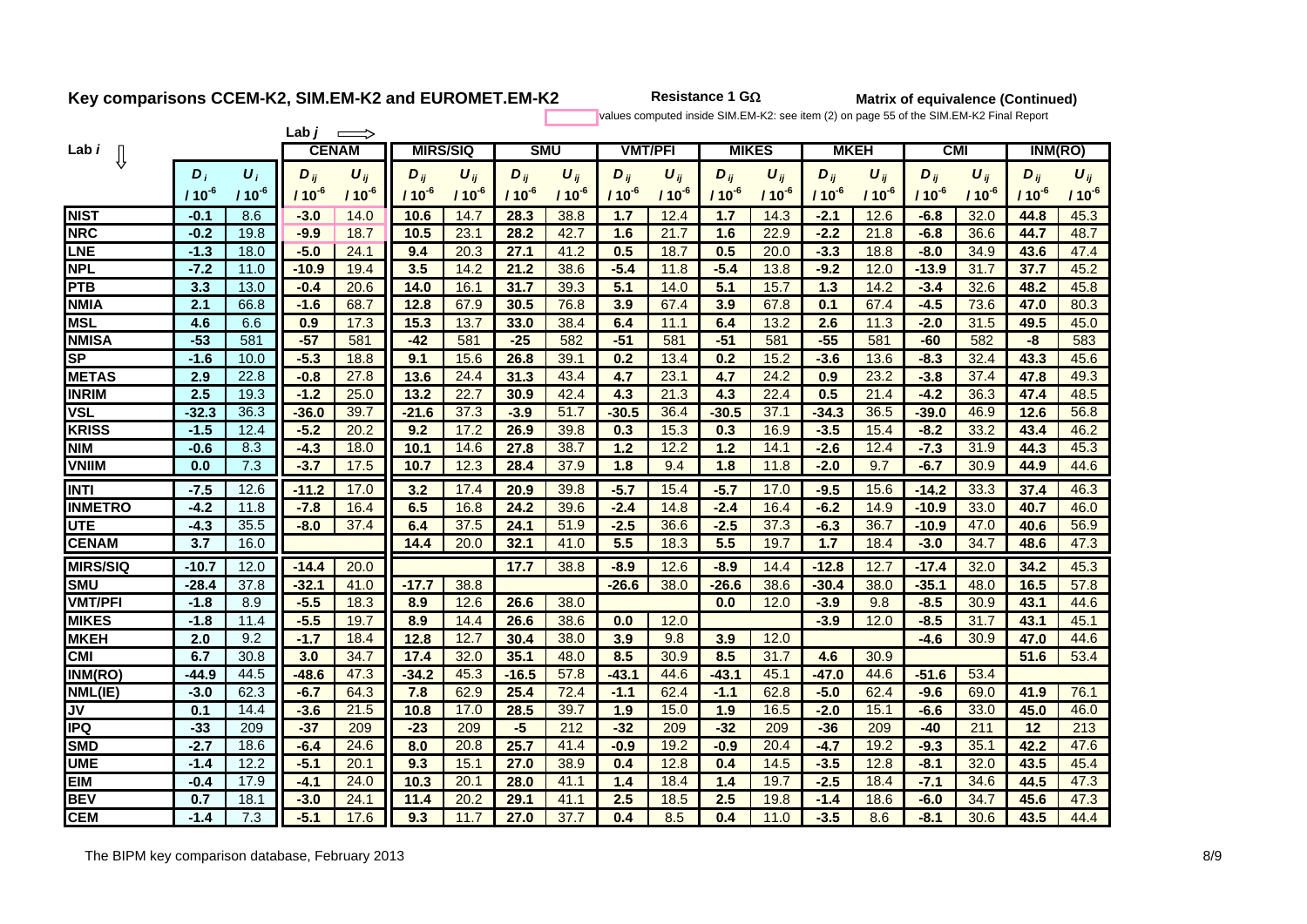**Resistance 1 G**

**Matrix of equivalence (Continued)**

values computed inside SIM.EM-K2: see item (2) on page 55 of the SIM.EM-K2 Final Report

|                                   |            |                    | Lab,      | $\implies$            |           |                 |            |            |                |           |            |                       |            |                       |            |            |            |            |
|-----------------------------------|------------|--------------------|-----------|-----------------------|-----------|-----------------|------------|------------|----------------|-----------|------------|-----------------------|------------|-----------------------|------------|------------|------------|------------|
| Lab <i>i</i>                      |            |                    |           | <b>CENAM</b>          |           | <b>MIRS/SIQ</b> |            | <b>SMU</b> | <b>VMT/PFI</b> |           |            | <b>MIKES</b>          |            | <b>MKEH</b>           | <b>CMI</b> |            | INM(RO)    |            |
|                                   | $\bm{D}_i$ | $\boldsymbol{U}_i$ | $D_{ij}$  | $\boldsymbol{U}_{ij}$ | $D_{ij}$  | $U_{ij}$        | $D_{ij}$   | $U_{ij}$   | $D_{ij}$       | $U_{ii}$  | $D_{ij}$   | $\boldsymbol{U}_{ij}$ | $D_{ij}$   | $\boldsymbol{U}_{ij}$ | $D_{ij}$   | $U_{ii}$   | $D_{ij}$   | $U_{ij}$   |
|                                   | $110^{-6}$ | $110^{-6}$         | $110^{6}$ | $110^{6}$             | $110^{6}$ | $110^{-6}$      | $110^{-6}$ | $110^{-6}$ | $110^{-6}$     | $110^{6}$ | $110^{-6}$ | $110^{-6}$            | $110^{-6}$ | $110^{6}$             | $110^{6}$  | $110^{-6}$ | $110^{-6}$ | $110^{-6}$ |
| <b>NIST</b>                       | $-0.1$     | 8.6                | $-3.0$    | 14.0                  | 10.6      | 14.7            | 28.3       | 38.8       | 1.7            | 12.4      | 1.7        | 14.3                  | $-2.1$     | 12.6                  | $-6.8$     | 32.0       | 44.8       | 45.3       |
| <b>NRC</b>                        | $-0.2$     | 19.8               | $-9.9$    | 18.7                  | 10.5      | 23.1            | 28.2       | 42.7       | 1.6            | 21.7      | 1.6        | 22.9                  | $-2.2$     | 21.8                  | $-6.8$     | 36.6       | 44.7       | 48.7       |
| <b>LNE</b>                        | $-1.3$     | 18.0               | $-5.0$    | 24.1                  | 9.4       | 20.3            | 27.1       | 41.2       | 0.5            | 18.7      | 0.5        | 20.0                  | $-3.3$     | 18.8                  | $-8.0$     | 34.9       | 43.6       | 47.4       |
| <b>NPL</b>                        | $-7.2$     | 11.0               | $-10.9$   | 19.4                  | 3.5       | 14.2            | 21.2       | 38.6       | $-5.4$         | 11.8      | $-5.4$     | 13.8                  | $-9.2$     | 12.0                  | $-13.9$    | 31.7       | 37.7       | 45.2       |
| <b>PTB</b>                        | 3.3        | 13.0               | $-0.4$    | 20.6                  | 14.0      | 16.1            | 31.7       | 39.3       | 5.1            | 14.0      | 5.1        | 15.7                  | 1.3        | 14.2                  | $-3.4$     | 32.6       | 48.2       | 45.8       |
| <b>NMIA</b>                       | 2.1        | 66.8               | $-1.6$    | 68.7                  | 12.8      | 67.9            | 30.5       | 76.8       | 3.9            | 67.4      | 3.9        | 67.8                  | 0.1        | 67.4                  | $-4.5$     | 73.6       | 47.0       | 80.3       |
| <b>MSL</b>                        | 4.6        | 6.6                | 0.9       | 17.3                  | 15.3      | 13.7            | 33.0       | 38.4       | 6.4            | 11.1      | 6.4        | 13.2                  | 2.6        | 11.3                  | $-2.0$     | 31.5       | 49.5       | 45.0       |
| <b>NMISA</b>                      | $-53$      | 581                | $-57$     | 581                   | $-42$     | 581             | $-25$      | 582        | $-51$          | 581       | $-51$      | 581                   | $-55$      | 581                   | $-60$      | 582        | $-8$       | 583        |
| <b>SP</b>                         | $-1.6$     | 10.0               | $-5.3$    | 18.8                  | 9.1       | 15.6            | 26.8       | 39.1       | 0.2            | 13.4      | 0.2        | 15.2                  | $-3.6$     | 13.6                  | $-8.3$     | 32.4       | 43.3       | 45.6       |
| <b>METAS</b>                      | 2.9        | 22.8               | $-0.8$    | 27.8                  | 13.6      | 24.4            | 31.3       | 43.4       | 4.7            | 23.1      | 4.7        | 24.2                  | 0.9        | 23.2                  | $-3.8$     | 37.4       | 47.8       | 49.3       |
| <b>INRIM</b>                      | 2.5        | 19.3               | $-1.2$    | 25.0                  | 13.2      | 22.7            | 30.9       | 42.4       | 4.3            | 21.3      | 4.3        | 22.4                  | 0.5        | 21.4                  | $-4.2$     | 36.3       | 47.4       | 48.5       |
| <b>VSL</b>                        | $-32.3$    | 36.3               | $-36.0$   | 39.7                  | $-21.6$   | 37.3            | $-3.9$     | 51.7       | $-30.5$        | 36.4      | $-30.5$    | 37.1                  | $-34.3$    | 36.5                  | $-39.0$    | 46.9       | 12.6       | 56.8       |
| <b>KRISS</b>                      | $-1.5$     | 12.4               | $-5.2$    | 20.2                  | 9.2       | 17.2            | 26.9       | 39.8       | 0.3            | 15.3      | 0.3        | 16.9                  | $-3.5$     | 15.4                  | $-8.2$     | 33.2       | 43.4       | 46.2       |
| <b>NIM</b>                        | $-0.6$     | 8.3                | $-4.3$    | 18.0                  | 10.1      | 14.6            | 27.8       | 38.7       | 1.2            | 12.2      | 1.2        | 14.1                  | $-2.6$     | 12.4                  | $-7.3$     | 31.9       | 44.3       | 45.3       |
| <b>VNIIM</b>                      | 0.0        | 7.3                | $-3.7$    | 17.5                  | 10.7      | 12.3            | 28.4       | 37.9       | 1.8            | 9.4       | 1.8        | 11.8                  | $-2.0$     | 9.7                   | $-6.7$     | 30.9       | 44.9       | 44.6       |
| <b>INTI</b>                       | $-7.5$     | 12.6               | $-11.2$   | 17.0                  | 3.2       | 17.4            | 20.9       | 39.8       | $-5.7$         | 15.4      | $-5.7$     | 17.0                  | $-9.5$     | 15.6                  | $-14.2$    | 33.3       | 37.4       | 46.3       |
| <b>INMETRO</b>                    | $-4.2$     | 11.8               | $-7.8$    | 16.4                  | 6.5       | 16.8            | 24.2       | 39.6       | $-2.4$         | 14.8      | $-2.4$     | 16.4                  | $-6.2$     | 14.9                  | $-10.9$    | 33.0       | 40.7       | 46.0       |
| <b>UTE</b>                        | $-4.3$     | 35.5               | $-8.0$    | 37.4                  | 6.4       | 37.5            | 24.1       | 51.9       | $-2.5$         | 36.6      | $-2.5$     | 37.3                  | $-6.3$     | 36.7                  | $-10.9$    | 47.0       | 40.6       | 56.9       |
| <b>CENAM</b>                      | 3.7        | 16.0               |           |                       | 14.4      | 20.0            | 32.1       | 41.0       | 5.5            | 18.3      | 5.5        | 19.7                  | 1.7        | 18.4                  | $-3.0$     | 34.7       | 48.6       | 47.3       |
| <b>MIRS/SIQ</b>                   | $-10.7$    | 12.0               | $-14.4$   | 20.0                  |           |                 | 17.7       | 38.8       | $-8.9$         | 12.6      | $-8.9$     | 14.4                  | $-12.8$    | 12.7                  | $-17.4$    | 32.0       | 34.2       | 45.3       |
| <b>SMU</b>                        | $-28.4$    | 37.8               | $-32.1$   | 41.0                  | $-17.7$   | 38.8            |            |            | $-26.6$        | 38.0      | $-26.6$    | 38.6                  | $-30.4$    | 38.0                  | $-35.1$    | 48.0       | 16.5       | 57.8       |
| <b>VMT/PFI</b>                    | $-1.8$     | 8.9                | $-5.5$    | 18.3                  | 8.9       | 12.6            | 26.6       | 38.0       |                |           | 0.0        | 12.0                  | $-3.9$     | 9.8                   | $-8.5$     | 30.9       | 43.1       | 44.6       |
| <b>MIKES</b>                      | $-1.8$     | 11.4               | $-5.5$    | 19.7                  | 8.9       | 14.4            | 26.6       | 38.6       | 0.0            | 12.0      |            |                       | $-3.9$     | 12.0                  | $-8.5$     | 31.7       | 43.1       | 45.1       |
| <b>MKEH</b>                       | 2.0        | 9.2                | $-1.7$    | 18.4                  | 12.8      | 12.7            | 30.4       | 38.0       | 3.9            | 9.8       | 3.9        | 12.0                  |            |                       | $-4.6$     | 30.9       | 47.0       | 44.6       |
| <b>CMI</b>                        | 6.7        | 30.8               | 3.0       | 34.7                  | 17.4      | 32.0            | 35.1       | 48.0       | 8.5            | 30.9      | 8.5        | 31.7                  | 4.6        | 30.9                  |            |            | 51.6       | 53.4       |
| INM(RO)                           | $-44.9$    | 44.5               | $-48.6$   | 47.3                  | $-34.2$   | 45.3            | $-16.5$    | 57.8       | $-43.1$        | 44.6      | $-43.1$    | 45.1                  | $-47.0$    | 44.6                  | $-51.6$    | 53.4       |            |            |
| NML(IE)                           | $-3.0$     | 62.3               | $-6.7$    | 64.3                  | 7.8       | 62.9            | 25.4       | 72.4       | -1.1           | 62.4      | 44         | 62.8                  | $-5.0$     | 62.4                  | $-9.6$     | 69.0       | 41.9       | 76.1       |
| $\overline{\mathsf{J}\mathsf{V}}$ | 0.1        | 14.4               | $-3.6$    | 21.5                  | 10.8      | 17.0            | 28.5       | 39.7       | 1.9            | 15.0      | 1.9        | 16.5                  | $-2.0$     | 15.1                  | $-6.6$     | 33.0       | 45.0       | 46.0       |
| <b>IPQ</b>                        | $-33$      | 209                | $-37$     | 209                   | $-23$     | 209             | 45         | 212        | $-32$          | 209       | $-32$      | 209                   | $-36$      | 209                   | $-40$      | 211        | 12         | 213        |
| <b>SMD</b>                        | $-2.7$     | 18.6               | $-6.4$    | 24.6                  | 8.0       | 20.8            | 25.7       | 41.4       | $-0.9$         | 19.2      | $-0.9$     | 20.4                  | $-4.7$     | 19.2                  | $-9.3$     | 35.1       | 42.2       | 47.6       |
| <b>UME</b>                        | $-1.4$     | 12.2               | $-5.1$    | 20.1                  | 9.3       | 15.1            | 27.0       | 38.9       | 0.4            | 12.8      | 0.4        | 14.5                  | $-3.5$     | 12.8                  | $-8.1$     | 32.0       | 43.5       | 45.4       |
| <b>EIM</b>                        | $-0.4$     | 17.9               | $-4.1$    | 24.0                  | 10.3      | 20.1            | 28.0       | 41.1       | 1.4            | 18.4      | 1.4        | 19.7                  | $-2.5$     | 18.4                  | $-7.1$     | 34.6       | 44.5       | 47.3       |
| <b>BEV</b>                        | 0.7        | 18.1               | $-3.0$    | 24.1                  | 11.4      | 20.2            | 29.1       | 41.1       | 2.5            | 18.5      | 2.5        | 19.8                  | $-1.4$     | 18.6                  | $-6.0$     | 34.7       | 45.6       | 47.3       |
| <b>CEM</b>                        | $-1.4$     | 7.3                | $-5.1$    | 17.6                  | 9.3       | 11.7            | 27.0       | 37.7       | 0.4            | 8.5       | 0.4        | 11.0                  | $-3.5$     | 8.6                   | $-8.1$     | 30.6       | 43.5       | 44.4       |